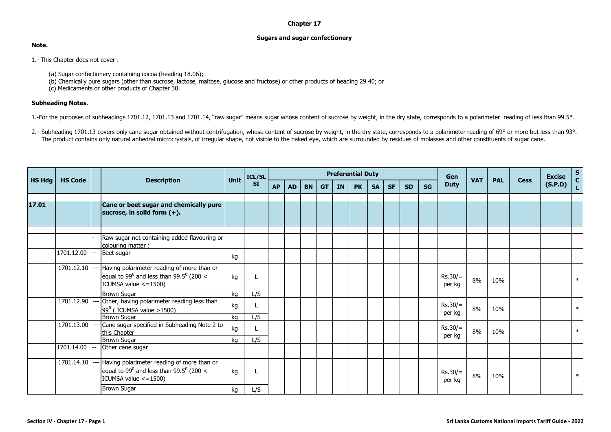## **Chapter 17**

## **Sugars and sugar confectionery**

**Note.**

1.- This Chapter does not cover :

- (a) Sugar confectionery containing cocoa (heading 18.06);
- (b) Chemically pure sugars (other than sucrose, lactose, maltose, glucose and fructose) or other products of heading 29.40; or

(c) Medicaments or other products of Chapter 30.

## **Subheading Notes.**

1.-For the purposes of subheadings 1701.12, 1701.13 and 1701.14, "raw sugar" means sugar whose content of sucrose by weight, in the dry state, corresponds to a polarimeter reading of less than 99.5°.

2.- Subheading 1701.13 covers only cane sugar obtained without centrifugation, whose content of sucrose by weight, in the dry state, corresponds to a polarimeter reading of 69° or more but less than 93°. The product contains only natural anhedral microcrystals, of irregular shape, not visible to the naked eye, which are surrounded by residues of molasses and other constituents of sugar cane.

|               |                |  |                                                                                                                                           | <b>Unit</b> | ICL/SL<br><b>SI</b> | <b>Preferential Duty</b> |     |           |           |    |           |           |           |           |           |                     |            |            |             | <b>Excise</b> | $\frac{s}{c}$ |
|---------------|----------------|--|-------------------------------------------------------------------------------------------------------------------------------------------|-------------|---------------------|--------------------------|-----|-----------|-----------|----|-----------|-----------|-----------|-----------|-----------|---------------------|------------|------------|-------------|---------------|---------------|
| <b>HS Hdg</b> | <b>HS Code</b> |  | <b>Description</b>                                                                                                                        |             |                     | <b>AP</b>                | AD. | <b>BN</b> | <b>GT</b> | IN | <b>PK</b> | <b>SA</b> | <b>SF</b> | <b>SD</b> | <b>SG</b> | <b>Duty</b>         | <b>VAT</b> | <b>PAL</b> | <b>Cess</b> | (S.P.D)       | L.            |
|               |                |  |                                                                                                                                           |             |                     |                          |     |           |           |    |           |           |           |           |           |                     |            |            |             |               |               |
| 17.01         |                |  | Cane or beet sugar and chemically pure<br>sucrose, in solid form (+).                                                                     |             |                     |                          |     |           |           |    |           |           |           |           |           |                     |            |            |             |               |               |
|               |                |  | Raw sugar not containing added flavouring or<br>colouring matter:                                                                         |             |                     |                          |     |           |           |    |           |           |           |           |           |                     |            |            |             |               |               |
|               | 1701.12.00     |  | Beet sugar                                                                                                                                | kg          |                     |                          |     |           |           |    |           |           |           |           |           |                     |            |            |             |               |               |
|               |                |  | 1701.12.10 --- Having polarimeter reading of more than or<br>equal to 99 $^0$ and less than 99.5 $^0$ (200 <<br>ICUMSA value $\le$ =1500) | kg          |                     |                          |     |           |           |    |           |           |           |           |           | $Rs.30/=$<br>per kg | 8%         | 10%        |             |               | $\ast$        |
|               |                |  | <b>Brown Sugar</b>                                                                                                                        | kg          | L/S                 |                          |     |           |           |    |           |           |           |           |           |                     |            |            |             |               |               |
|               |                |  | 1701.12.90 --- Other, having polarimeter reading less than<br>$99^0$ (ICUMSA value >1500)                                                 | kg          |                     |                          |     |           |           |    |           |           |           |           |           | $Rs.30/=$<br>per kg | 8%         | 10%        |             |               | $\ast$        |
|               |                |  | <b>Brown Sugar</b>                                                                                                                        | kg          | L/S                 |                          |     |           |           |    |           |           |           |           |           |                     |            |            |             |               |               |
|               | 1701.13.00     |  | Cane sugar specified in Subheading Note 2 to<br>this Chapter                                                                              | kg          |                     |                          |     |           |           |    |           |           |           |           |           | $Rs.30/=$           | 8%         | 10%        |             |               | $\ast$        |
|               |                |  | Brown Sugar                                                                                                                               | kg          | L/S                 |                          |     |           |           |    |           |           |           |           |           | per kg              |            |            |             |               |               |
|               | 1701.14.00     |  | Other cane sugar                                                                                                                          |             |                     |                          |     |           |           |    |           |           |           |           |           |                     |            |            |             |               |               |
|               |                |  | 1701.14.10 --- Having polarimeter reading of more than or<br>equal to 99 $^0$ and less than 99.5 $^0$ (200 <<br>ICUMSA value $\le$ =1500) | kg          |                     |                          |     |           |           |    |           |           |           |           |           | $Rs.30/=$<br>per kg | 8%         | 10%        |             |               | $\ast$        |
|               |                |  | <b>Brown Sugar</b>                                                                                                                        | kg          | L/S                 |                          |     |           |           |    |           |           |           |           |           |                     |            |            |             |               |               |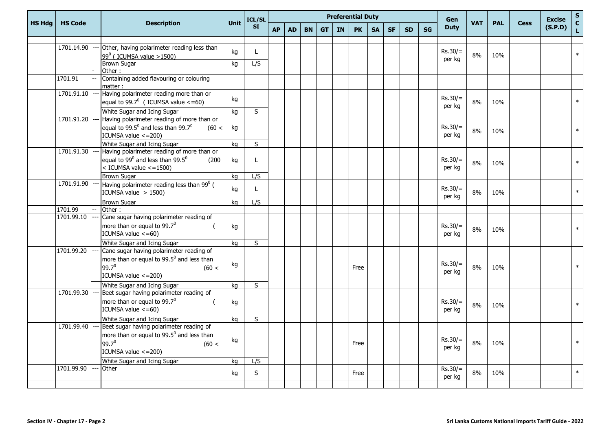|               |                |  | <b>Description</b>                                                                                                                             | <b>Unit</b> | ICL/SL<br><b>SI</b>     | <b>Preferential Duty</b> |           |           |           |    |           |           |           |           |           |                     | Gen        |            |             | <b>Excise</b> | $\sf s$          |
|---------------|----------------|--|------------------------------------------------------------------------------------------------------------------------------------------------|-------------|-------------------------|--------------------------|-----------|-----------|-----------|----|-----------|-----------|-----------|-----------|-----------|---------------------|------------|------------|-------------|---------------|------------------|
| <b>HS Hdg</b> | <b>HS Code</b> |  |                                                                                                                                                |             |                         | <b>AP</b>                | <b>AD</b> | <b>BN</b> | <b>GT</b> | IN | <b>PK</b> | <b>SA</b> | <b>SF</b> | <b>SD</b> | <b>SG</b> | <b>Duty</b>         | <b>VAT</b> | <b>PAL</b> | <b>Cess</b> | (S.P.D)       | $\mathbf c$<br>L |
|               |                |  |                                                                                                                                                |             |                         |                          |           |           |           |    |           |           |           |           |           |                     |            |            |             |               |                  |
|               | 1701.14.90     |  | Other, having polarimeter reading less than                                                                                                    | kg          | $\mathbf{L}$            |                          |           |           |           |    |           |           |           |           |           | $Rs.30/=$           | 8%         | 10%        |             |               | $\ast$           |
|               |                |  | $99^0$ (ICUMSA value >1500)<br><b>Brown Sugar</b>                                                                                              | kg          | L/S                     |                          |           |           |           |    |           |           |           |           |           | per kg              |            |            |             |               |                  |
|               |                |  | Other:                                                                                                                                         |             |                         |                          |           |           |           |    |           |           |           |           |           |                     |            |            |             |               |                  |
|               | 1701.91        |  | Containing added flavouring or colouring<br>matter:                                                                                            |             |                         |                          |           |           |           |    |           |           |           |           |           |                     |            |            |             |               |                  |
|               | 1701.91.10     |  | Having polarimeter reading more than or                                                                                                        |             |                         |                          |           |           |           |    |           |           |           |           |           |                     |            |            |             |               |                  |
|               |                |  | equal to $99.7^0$ (ICUMSA value <= 60)                                                                                                         | kg          |                         |                          |           |           |           |    |           |           |           |           |           | $Rs.30/=$<br>per kg | 8%         | 10%        |             |               |                  |
|               |                |  | White Sugar and Icing Sugar                                                                                                                    | kg          | S                       |                          |           |           |           |    |           |           |           |           |           |                     |            |            |             |               |                  |
|               | 1701.91.20     |  | Having polarimeter reading of more than or                                                                                                     |             |                         |                          |           |           |           |    |           |           |           |           |           |                     |            |            |             |               |                  |
|               |                |  | equal to 99.5 $^0$ and less than 99.7 $^0$<br>(60 <<br>ICUMSA value <= 200)                                                                    | kg          |                         |                          |           |           |           |    |           |           |           |           |           | $Rs.30/=$<br>per kg | 8%         | 10%        |             |               | $\ast$           |
|               |                |  | White Sugar and Icing Sugar                                                                                                                    | ka          | S                       |                          |           |           |           |    |           |           |           |           |           |                     |            |            |             |               |                  |
|               | 1701.91.30     |  | Having polarimeter reading of more than or                                                                                                     |             |                         |                          |           |           |           |    |           |           |           |           |           |                     |            |            |             |               |                  |
|               |                |  | equal to $99^0$ and less than $99.5^0$<br>(200)<br>$\frac{1}{2}$ ICUMSA value <=1500)                                                          | kg          | L                       |                          |           |           |           |    |           |           |           |           |           | $Rs.30/=$<br>per kg | 8%         | 10%        |             |               | $\ast$           |
|               |                |  | <b>Brown Sugar</b>                                                                                                                             | kg          | L/S                     |                          |           |           |           |    |           |           |           |           |           |                     |            |            |             |               |                  |
|               | 1701.91.90     |  | Having polarimeter reading less than 99 <sup>0</sup> (<br>ICUMSA value $> 1500$ )                                                              | kg          | L.                      |                          |           |           |           |    |           |           |           |           |           | $Rs.30/=$<br>per kg | 8%         | 10%        |             |               | $\ast$           |
|               |                |  | <b>Brown Sugar</b>                                                                                                                             | kg          | L/S                     |                          |           |           |           |    |           |           |           |           |           |                     |            |            |             |               |                  |
|               | 1701.99        |  | Other:                                                                                                                                         |             |                         |                          |           |           |           |    |           |           |           |           |           |                     |            |            |             |               |                  |
|               | 1701.99.10     |  | Cane sugar having polarimeter reading of                                                                                                       |             |                         |                          |           |           |           |    |           |           |           |           |           |                     |            |            |             |               |                  |
|               |                |  | more than or equal to 99.7 <sup>0</sup><br>$\left($<br>ICUMSA value $\leq$ =60)                                                                | kg          |                         |                          |           |           |           |    |           |           |           |           |           | $Rs.30/=$<br>per kg | 8%         | 10%        |             |               | $\ast$           |
|               |                |  | White Sugar and Icing Sugar                                                                                                                    | kg          | $\overline{\mathsf{s}}$ |                          |           |           |           |    |           |           |           |           |           |                     |            |            |             |               |                  |
|               | 1701.99.20     |  | Cane sugar having polarimeter reading of<br>more than or equal to 99.5 <sup>0</sup> and less than<br>$99.7^0$<br>(60 <<br>ICUMSA value <= 200) | kg          |                         |                          |           |           |           |    | Free      |           |           |           |           | $Rs.30/=$<br>per kg | 8%         | 10%        |             |               | $\ast$           |
|               |                |  | White Sugar and Icing Sugar                                                                                                                    | kg          | S                       |                          |           |           |           |    |           |           |           |           |           |                     |            |            |             |               |                  |
|               | 1701.99.30     |  | Beet sugar having polarimeter reading of<br>more than or equal to 99.7 <sup>0</sup><br>- (<br>ICUMSA value $\leq$ =60)                         | kg          |                         |                          |           |           |           |    |           |           |           |           |           | $Rs.30/=$<br>per kg | 8%         | 10%        |             |               | $\ast$           |
|               |                |  |                                                                                                                                                |             |                         |                          |           |           |           |    |           |           |           |           |           |                     |            |            |             |               |                  |
|               | 1701.99.40     |  | White Sugar and Icing Sugar<br>Beet sugar having polarimeter reading of                                                                        | kg          | $\overline{\mathsf{s}}$ |                          |           |           |           |    |           |           |           |           |           |                     |            |            |             |               |                  |
|               |                |  | more than or equal to 99.5 <sup>0</sup> and less than<br>$99.7^0$<br>(60 <<br>ICUMSA value $\le$ = 200)                                        | kg          |                         |                          |           |           |           |    | Free      |           |           |           |           | $Rs.30/=$<br>per kg | 8%         | 10%        |             |               | $\ast$           |
|               |                |  | White Sugar and Icing Sugar                                                                                                                    | ka          | L/S                     |                          |           |           |           |    |           |           |           |           |           |                     |            |            |             |               |                  |
|               | 1701.99.90     |  | Other                                                                                                                                          | kg          | S                       |                          |           |           |           |    | Free      |           |           |           |           | $Rs.30/=$<br>per kg | 8%         | 10%        |             |               | $\ast$           |
|               |                |  |                                                                                                                                                |             |                         |                          |           |           |           |    |           |           |           |           |           |                     |            |            |             |               |                  |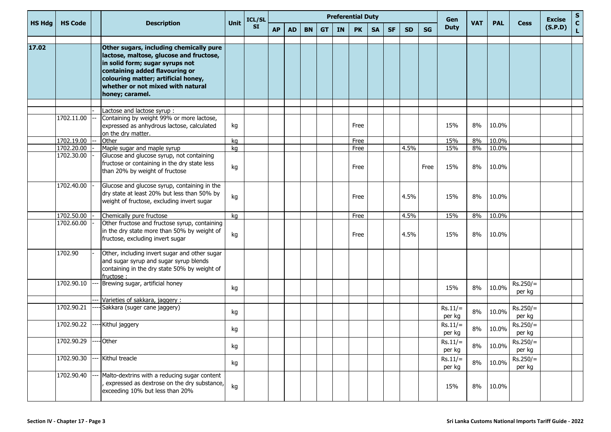|               | <b>HS Code</b>           |  | <b>Description</b>                                                                                                                                                                                                                                     | Unit     | ICL/SL<br><b>SI</b> | <b>Preferential Duty</b> |           |           |           |    |              |           |           |           |           | Gen                 |            |                |                      | <b>Excise</b> | $\mathbf{s}$                |
|---------------|--------------------------|--|--------------------------------------------------------------------------------------------------------------------------------------------------------------------------------------------------------------------------------------------------------|----------|---------------------|--------------------------|-----------|-----------|-----------|----|--------------|-----------|-----------|-----------|-----------|---------------------|------------|----------------|----------------------|---------------|-----------------------------|
| <b>HS Hdg</b> |                          |  |                                                                                                                                                                                                                                                        |          |                     | <b>AP</b>                | <b>AD</b> | <b>BN</b> | <b>GT</b> | IN | <b>PK</b>    | <b>SA</b> | <b>SF</b> | <b>SD</b> | <b>SG</b> | <b>Duty</b>         | <b>VAT</b> | <b>PAL</b>     | <b>Cess</b>          | (S.P.D)       | $\mathbf{C}$<br>$\mathbf L$ |
| 17.02         |                          |  | Other sugars, including chemically pure<br>lactose, maltose, glucose and fructose,<br>in solid form; sugar syrups not<br>containing added flavouring or<br>colouring matter; artificial honey,<br>whether or not mixed with natural<br>honey; caramel. |          |                     |                          |           |           |           |    |              |           |           |           |           |                     |            |                |                      |               |                             |
|               |                          |  | Lactose and lactose syrup:                                                                                                                                                                                                                             |          |                     |                          |           |           |           |    |              |           |           |           |           |                     |            |                |                      |               |                             |
|               | 1702.11.00               |  | Containing by weight 99% or more lactose,<br>expressed as anhydrous lactose, calculated<br>on the dry matter.                                                                                                                                          | kg       |                     |                          |           |           |           |    | Free         |           |           |           |           | 15%                 | 8%         | 10.0%          |                      |               |                             |
|               | 1702.19.00               |  | Other                                                                                                                                                                                                                                                  | kg       |                     |                          |           |           |           |    | Free         |           |           |           |           | 15%                 | 8%         | 10.0%          |                      |               |                             |
|               | 1702.20.00<br>1702.30.00 |  | Maple sugar and maple syrup<br>Glucose and glucose syrup, not containing<br>fructose or containing in the dry state less<br>than 20% by weight of fructose                                                                                             | kg<br>kg |                     |                          |           |           |           |    | Free<br>Free |           |           | 4.5%      | Free      | 15%<br>15%          | 8%<br>8%   | 10.0%<br>10.0% |                      |               |                             |
|               | 1702.40.00               |  | Glucose and glucose syrup, containing in the<br>dry state at least 20% but less than 50% by<br>weight of fructose, excluding invert sugar                                                                                                              | kg       |                     |                          |           |           |           |    | Free         |           |           | 4.5%      |           | 15%                 | 8%         | 10.0%          |                      |               |                             |
|               | 1702.50.00               |  | Chemically pure fructose                                                                                                                                                                                                                               | kg       |                     |                          |           |           |           |    | Free         |           |           | 4.5%      |           | 15%                 | 8%         | 10.0%          |                      |               |                             |
|               | 1702.60.00               |  | Other fructose and fructose syrup, containing<br>in the dry state more than 50% by weight of<br>fructose, excluding invert sugar                                                                                                                       | kg       |                     |                          |           |           |           |    | Free         |           |           | 4.5%      |           | 15%                 | 8%         | 10.0%          |                      |               |                             |
|               | 1702.90                  |  | Other, including invert sugar and other sugar<br>and sugar syrup and sugar syrup blends<br>containing in the dry state 50% by weight of<br>fructose:                                                                                                   |          |                     |                          |           |           |           |    |              |           |           |           |           |                     |            |                |                      |               |                             |
|               | 1702.90.10               |  | Brewing sugar, artificial honey                                                                                                                                                                                                                        | kg       |                     |                          |           |           |           |    |              |           |           |           |           | 15%                 | 8%         | 10.0%          | $Rs.250/=$<br>per kg |               |                             |
|               | 1702.90.21               |  | Varieties of sakkara, jaggery:<br>Sakkara (suger cane jaggery)                                                                                                                                                                                         | kg       |                     |                          |           |           |           |    |              |           |           |           |           | $Rs.11/=$<br>per kg | 8%         | 10.0%          | $Rs.250/=$<br>per kg |               |                             |
|               | 1702.90.22               |  | Kithul jaggery                                                                                                                                                                                                                                         | kg       |                     |                          |           |           |           |    |              |           |           |           |           | $Rs.11/=$<br>per kg | 8%         | 10.0%          | $Rs.250/=$<br>per kg |               |                             |
|               | 1702.90.29               |  | --- Other                                                                                                                                                                                                                                              | kg       |                     |                          |           |           |           |    |              |           |           |           |           | $Rs.11/=$<br>per kg | 8%         | 10.0%          | $Rs.250/=$<br>per kg |               |                             |
|               | 1702.90.30               |  | Kithul treacle                                                                                                                                                                                                                                         | kg       |                     |                          |           |           |           |    |              |           |           |           |           | $Rs.11/=$<br>per kg | 8%         | 10.0%          | $Rs.250/=$<br>per kg |               |                             |
|               | 1702.90.40               |  | Malto-dextrins with a reducing sugar content<br>expressed as dextrose on the dry substance,<br>exceeding 10% but less than 20%                                                                                                                         | kg       |                     |                          |           |           |           |    |              |           |           |           |           | 15%                 | 8%         | 10.0%          |                      |               |                             |